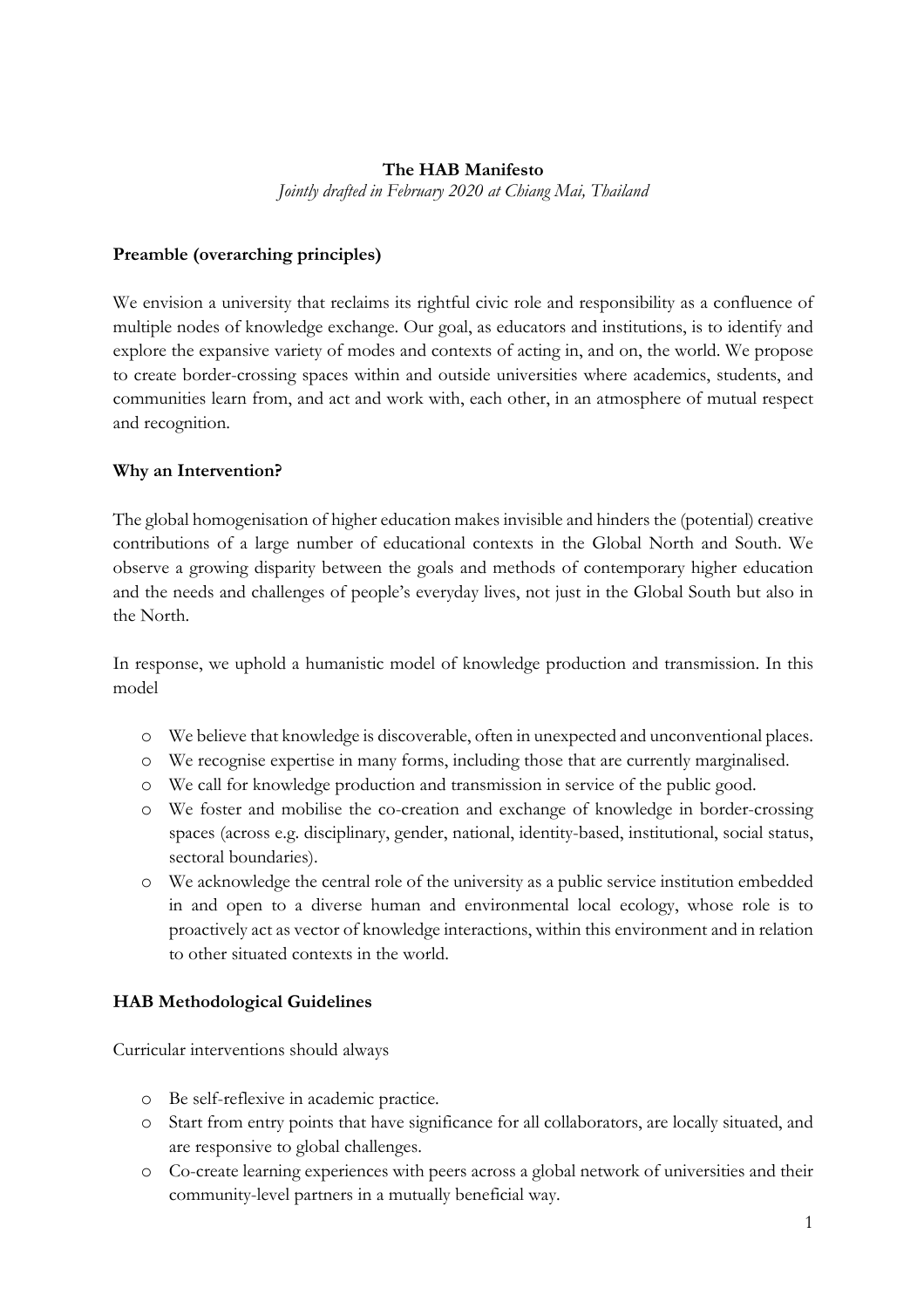### **The HAB Manifesto**

*Jointly drafted in February 2020 at Chiang Mai, Thailand*

### **Preamble (overarching principles)**

We envision a university that reclaims its rightful civic role and responsibility as a confluence of multiple nodes of knowledge exchange. Our goal, as educators and institutions, is to identify and explore the expansive variety of modes and contexts of acting in, and on, the world. We propose to create border-crossing spaces within and outside universities where academics, students, and communities learn from, and act and work with, each other, in an atmosphere of mutual respect and recognition.

### **Why an Intervention?**

The global homogenisation of higher education makes invisible and hinders the (potential) creative contributions of a large number of educational contexts in the Global North and South. We observe a growing disparity between the goals and methods of contemporary higher education and the needs and challenges of people's everyday lives, not just in the Global South but also in the North.

In response, we uphold a humanistic model of knowledge production and transmission. In this model

- o We believe that knowledge is discoverable, often in unexpected and unconventional places.
- o We recognise expertise in many forms, including those that are currently marginalised.
- o We call for knowledge production and transmission in service of the public good.
- o We foster and mobilise the co-creation and exchange of knowledge in border-crossing spaces (across e.g. disciplinary, gender, national, identity-based, institutional, social status, sectoral boundaries).
- o We acknowledge the central role of the university as a public service institution embedded in and open to a diverse human and environmental local ecology, whose role is to proactively act as vector of knowledge interactions, within this environment and in relation to other situated contexts in the world.

# **HAB Methodological Guidelines**

Curricular interventions should always

- o Be self-reflexive in academic practice.
- o Start from entry points that have significance for all collaborators, are locally situated, and are responsive to global challenges.
- o Co-create learning experiences with peers across a global network of universities and their community-level partners in a mutually beneficial way.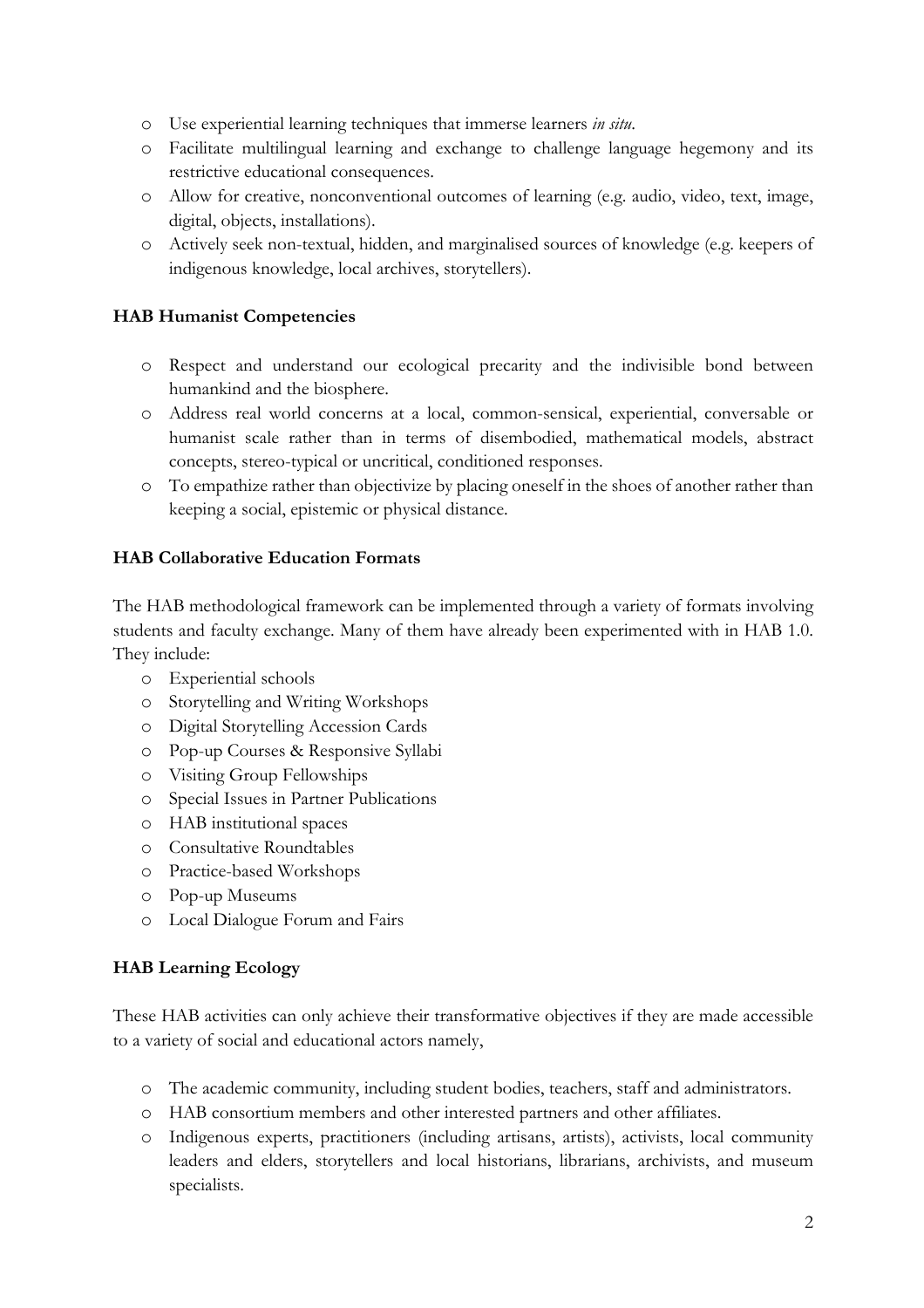- o Use experiential learning techniques that immerse learners *in situ*.
- o Facilitate multilingual learning and exchange to challenge language hegemony and its restrictive educational consequences.
- o Allow for creative, nonconventional outcomes of learning (e.g. audio, video, text, image, digital, objects, installations).
- o Actively seek non-textual, hidden, and marginalised sources of knowledge (e.g. keepers of indigenous knowledge, local archives, storytellers).

# **HAB Humanist Competencies**

- o Respect and understand our ecological precarity and the indivisible bond between humankind and the biosphere.
- o Address real world concerns at a local, common-sensical, experiential, conversable or humanist scale rather than in terms of disembodied, mathematical models, abstract concepts, stereo-typical or uncritical, conditioned responses.
- o To empathize rather than objectivize by placing oneself in the shoes of another rather than keeping a social, epistemic or physical distance.

# **HAB Collaborative Education Formats**

The HAB methodological framework can be implemented through a variety of formats involving students and faculty exchange. Many of them have already been experimented with in HAB 1.0. They include:

- o Experiential schools
- o Storytelling and Writing Workshops
- o Digital Storytelling Accession Cards
- o Pop-up Courses & Responsive Syllabi
- o Visiting Group Fellowships
- o Special Issues in Partner Publications
- o HAB institutional spaces
- o Consultative Roundtables
- o Practice-based Workshops
- o Pop-up Museums
- o Local Dialogue Forum and Fairs

# **HAB Learning Ecology**

These HAB activities can only achieve their transformative objectives if they are made accessible to a variety of social and educational actors namely,

- o The academic community, including student bodies, teachers, staff and administrators.
- o HAB consortium members and other interested partners and other affiliates.
- o Indigenous experts, practitioners (including artisans, artists), activists, local community leaders and elders, storytellers and local historians, librarians, archivists, and museum specialists.